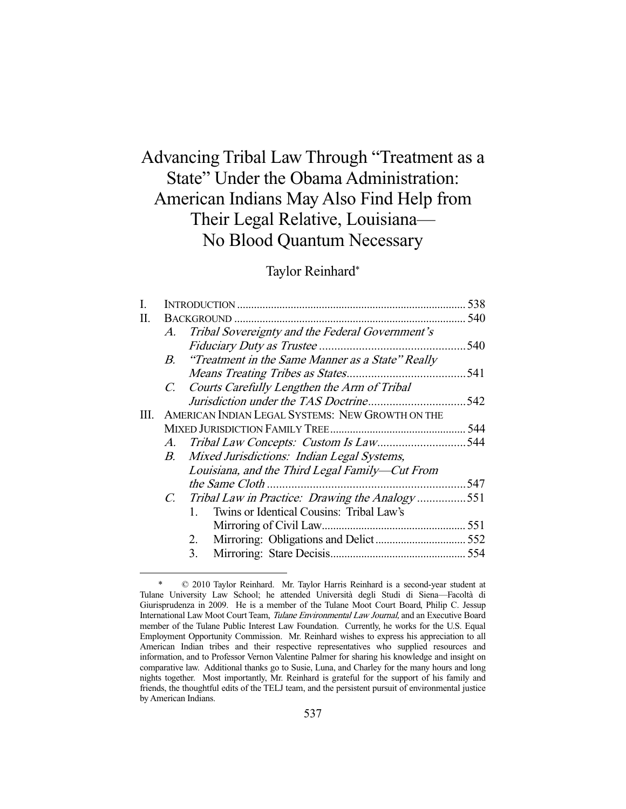# Advancing Tribal Law Through "Treatment as a State" Under the Obama Administration: American Indians May Also Find Help from Their Legal Relative, Louisiana— No Blood Quantum Necessary

# Taylor Reinhard\*

| I. |             |                                                     | 538  |
|----|-------------|-----------------------------------------------------|------|
| П. |             |                                                     |      |
|    |             | A. Tribal Sovereignty and the Federal Government's  |      |
|    |             |                                                     | 540  |
|    |             | B. "Treatment in the Same Manner as a State" Really |      |
|    |             |                                                     |      |
|    |             | C. Courts Carefully Lengthen the Arm of Tribal      |      |
|    |             |                                                     |      |
| Ш. |             | AMERICAN INDIAN LEGAL SYSTEMS: NEW GROWTH ON THE    |      |
|    |             |                                                     |      |
|    |             |                                                     |      |
|    |             | B. Mixed Jurisdictions: Indian Legal Systems,       |      |
|    |             | Louisiana, and the Third Legal Family—Cut From      |      |
|    |             |                                                     | .547 |
|    | $C_{\cdot}$ | Tribal Law in Practice: Drawing the Analogy551      |      |
|    |             | Twins or Identical Cousins: Tribal Law's<br>1.      |      |
|    |             |                                                     |      |
|    |             | 2.                                                  |      |
|    |             | 3.                                                  |      |
|    |             |                                                     |      |

 <sup>\* © 2010</sup> Taylor Reinhard. Mr. Taylor Harris Reinhard is a second-year student at Tulane University Law School; he attended Università degli Studi di Siena—Facoltà di Giurisprudenza in 2009. He is a member of the Tulane Moot Court Board, Philip C. Jessup International Law Moot Court Team, Tulane Environmental Law Journal, and an Executive Board member of the Tulane Public Interest Law Foundation. Currently, he works for the U.S. Equal Employment Opportunity Commission. Mr. Reinhard wishes to express his appreciation to all American Indian tribes and their respective representatives who supplied resources and information, and to Professor Vernon Valentine Palmer for sharing his knowledge and insight on comparative law. Additional thanks go to Susie, Luna, and Charley for the many hours and long nights together. Most importantly, Mr. Reinhard is grateful for the support of his family and friends, the thoughtful edits of the TELJ team, and the persistent pursuit of environmental justice by American Indians.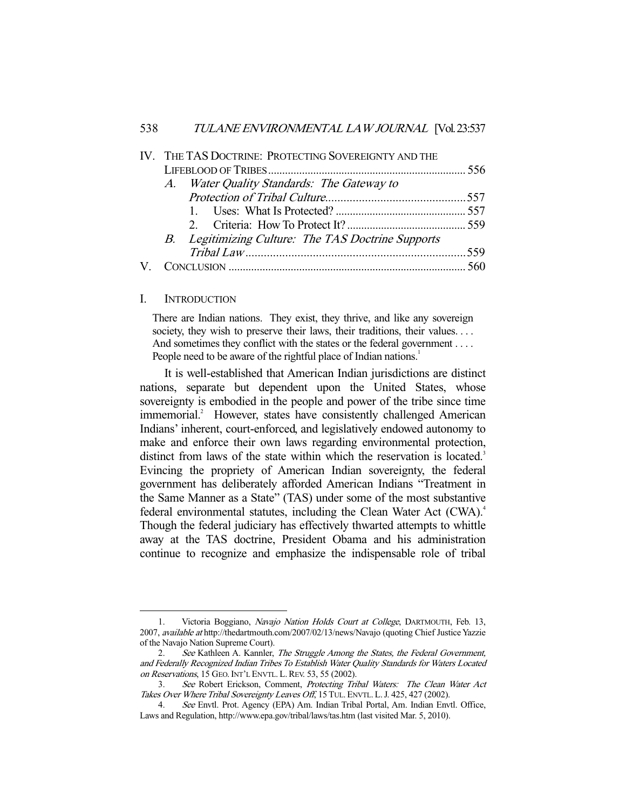|  |  | IV. THE TAS DOCTRINE: PROTECTING SOVEREIGNTY AND THE |  |
|--|--|------------------------------------------------------|--|
|  |  |                                                      |  |
|  |  | A. Water Quality Standards: The Gateway to           |  |
|  |  |                                                      |  |
|  |  |                                                      |  |
|  |  |                                                      |  |
|  |  | B. Legitimizing Culture: The TAS Doctrine Supports   |  |
|  |  |                                                      |  |
|  |  |                                                      |  |
|  |  |                                                      |  |

#### I. INTRODUCTION

-

There are Indian nations. They exist, they thrive, and like any sovereign society, they wish to preserve their laws, their traditions, their values.... And sometimes they conflict with the states or the federal government . . . . People need to be aware of the rightful place of Indian nations.<sup>1</sup>

 It is well-established that American Indian jurisdictions are distinct nations, separate but dependent upon the United States, whose sovereignty is embodied in the people and power of the tribe since time immemorial.<sup>2</sup> However, states have consistently challenged American Indians' inherent, court-enforced, and legislatively endowed autonomy to make and enforce their own laws regarding environmental protection, distinct from laws of the state within which the reservation is located.<sup>3</sup> Evincing the propriety of American Indian sovereignty, the federal government has deliberately afforded American Indians "Treatment in the Same Manner as a State" (TAS) under some of the most substantive federal environmental statutes, including the Clean Water Act (CWA).<sup>4</sup> Though the federal judiciary has effectively thwarted attempts to whittle away at the TAS doctrine, President Obama and his administration continue to recognize and emphasize the indispensable role of tribal

<sup>1.</sup> Victoria Boggiano, Navajo Nation Holds Court at College, DARTMOUTH, Feb. 13, 2007, available at http://thedartmouth.com/2007/02/13/news/Navajo (quoting Chief Justice Yazzie of the Navajo Nation Supreme Court).

<sup>2.</sup> See Kathleen A. Kannler, The Struggle Among the States, the Federal Government, and Federally Recognized Indian Tribes To Establish Water Quality Standards for Waters Located on Reservations, 15 GEO. INT'L ENVTL. L. REV. 53, 55 (2002).

 <sup>3.</sup> See Robert Erickson, Comment, Protecting Tribal Waters: The Clean Water Act Takes Over Where Tribal Sovereignty Leaves Off, 15 TUL. ENVTL. L. J. 425, 427 (2002).

 <sup>4.</sup> See Envtl. Prot. Agency (EPA) Am. Indian Tribal Portal, Am. Indian Envtl. Office, Laws and Regulation, http://www.epa.gov/tribal/laws/tas.htm (last visited Mar. 5, 2010).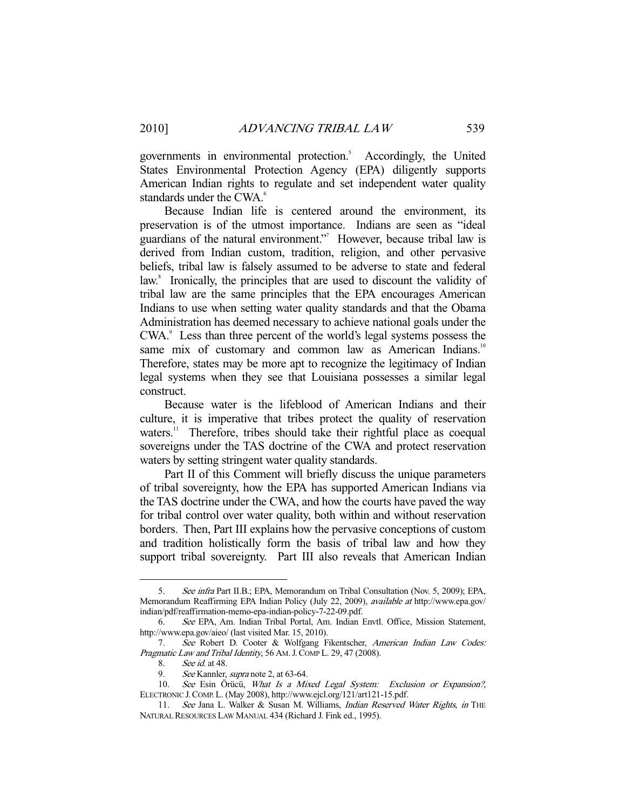governments in environmental protection.<sup>5</sup> Accordingly, the United States Environmental Protection Agency (EPA) diligently supports American Indian rights to regulate and set independent water quality standards under the CWA.<sup>6</sup>

 Because Indian life is centered around the environment, its preservation is of the utmost importance. Indians are seen as "ideal guardians of the natural environment."<sup>7</sup> However, because tribal law is derived from Indian custom, tradition, religion, and other pervasive beliefs, tribal law is falsely assumed to be adverse to state and federal law.<sup>8</sup> Ironically, the principles that are used to discount the validity of tribal law are the same principles that the EPA encourages American Indians to use when setting water quality standards and that the Obama Administration has deemed necessary to achieve national goals under the CWA.<sup>9</sup> Less than three percent of the world's legal systems possess the same mix of customary and common law as American Indians.<sup>10</sup> Therefore, states may be more apt to recognize the legitimacy of Indian legal systems when they see that Louisiana possesses a similar legal construct.

 Because water is the lifeblood of American Indians and their culture, it is imperative that tribes protect the quality of reservation waters.<sup>11</sup> Therefore, tribes should take their rightful place as coequal sovereigns under the TAS doctrine of the CWA and protect reservation waters by setting stringent water quality standards.

 Part II of this Comment will briefly discuss the unique parameters of tribal sovereignty, how the EPA has supported American Indians via the TAS doctrine under the CWA, and how the courts have paved the way for tribal control over water quality, both within and without reservation borders. Then, Part III explains how the pervasive conceptions of custom and tradition holistically form the basis of tribal law and how they support tribal sovereignty. Part III also reveals that American Indian

 <sup>5.</sup> See infra Part II.B.; EPA, Memorandum on Tribal Consultation (Nov. 5, 2009); EPA, Memorandum Reaffirming EPA Indian Policy (July 22, 2009), available at http://www.epa.gov/ indian/pdf/reaffirmation-memo-epa-indian-policy-7-22-09.pdf.

 <sup>6.</sup> See EPA, Am. Indian Tribal Portal, Am. Indian Envtl. Office, Mission Statement, http://www.epa.gov/aieo/ (last visited Mar. 15, 2010).

 <sup>7.</sup> See Robert D. Cooter & Wolfgang Fikentscher, American Indian Law Codes: Pragmatic Law and Tribal Identity, 56 AM. J. COMP L. 29, 47 (2008).

 <sup>8.</sup> See id. at 48.

<sup>9.</sup> See Kannler, *supra* note 2, at 63-64.

<sup>10.</sup> See Esin Örücü, What Is a Mixed Legal System: Exclusion or Expansion?, ELECTRONIC J.COMP.L. (May 2008), http://www.ejcl.org/121/art121-15.pdf.

<sup>11.</sup> See Jana L. Walker & Susan M. Williams, Indian Reserved Water Rights, in THE NATURAL RESOURCES LAW MANUAL 434 (Richard J. Fink ed., 1995).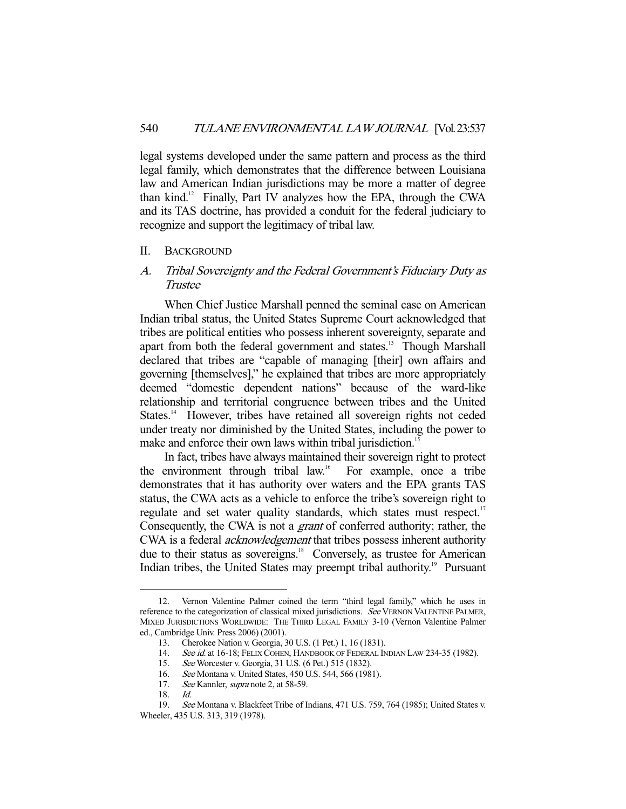legal systems developed under the same pattern and process as the third legal family, which demonstrates that the difference between Louisiana law and American Indian jurisdictions may be more a matter of degree than kind.12 Finally, Part IV analyzes how the EPA, through the CWA and its TAS doctrine, has provided a conduit for the federal judiciary to recognize and support the legitimacy of tribal law.

#### II. BACKGROUND

# A. Tribal Sovereignty and the Federal Government's Fiduciary Duty as Trustee

 When Chief Justice Marshall penned the seminal case on American Indian tribal status, the United States Supreme Court acknowledged that tribes are political entities who possess inherent sovereignty, separate and apart from both the federal government and states.<sup>13</sup> Though Marshall declared that tribes are "capable of managing [their] own affairs and governing [themselves]," he explained that tribes are more appropriately deemed "domestic dependent nations" because of the ward-like relationship and territorial congruence between tribes and the United States.<sup>14</sup> However, tribes have retained all sovereign rights not ceded under treaty nor diminished by the United States, including the power to make and enforce their own laws within tribal jurisdiction.<sup>15</sup>

 In fact, tribes have always maintained their sovereign right to protect the environment through tribal law.16 For example, once a tribe demonstrates that it has authority over waters and the EPA grants TAS status, the CWA acts as a vehicle to enforce the tribe's sovereign right to regulate and set water quality standards, which states must respect.<sup>17</sup> Consequently, the CWA is not a grant of conferred authority; rather, the CWA is a federal acknowledgement that tribes possess inherent authority due to their status as sovereigns.<sup>18</sup> Conversely, as trustee for American Indian tribes, the United States may preempt tribal authority.<sup>19</sup> Pursuant

 <sup>12.</sup> Vernon Valentine Palmer coined the term "third legal family," which he uses in reference to the categorization of classical mixed jurisdictions. See VERNON VALENTINE PALMER, MIXED JURISDICTIONS WORLDWIDE: THE THIRD LEGAL FAMILY 3-10 (Vernon Valentine Palmer ed., Cambridge Univ. Press 2006) (2001).

<sup>13.</sup> Cherokee Nation v. Georgia, 30 U.S. (1 Pet.) 1, 16 (1831).<br>14. See id. at 16-18; FELIX COHEN, HANDBOOK OF FEDERAL IN

<sup>14.</sup> See id. at 16-18; FELIX COHEN, HANDBOOK OF FEDERAL INDIAN LAW 234-35 (1982).<br>15. See Worcester v. Georgia, 31 U.S. (6 Pet.) 515 (1832).

<sup>15.</sup> See Worcester v. Georgia, 31 U.S. (6 Pet.) 515 (1832).<br>16. See Montana v. United States, 450 U.S. 544, 566 (198<br>17. See Kannler, *supra* note 2, at 58-59. See Montana v. United States, 450 U.S. 544, 566 (1981).

See Kannler, supra note 2, at 58-59.

 <sup>18.</sup> Id.

 <sup>19.</sup> See Montana v. Blackfeet Tribe of Indians, 471 U.S. 759, 764 (1985); United States v. Wheeler, 435 U.S. 313, 319 (1978).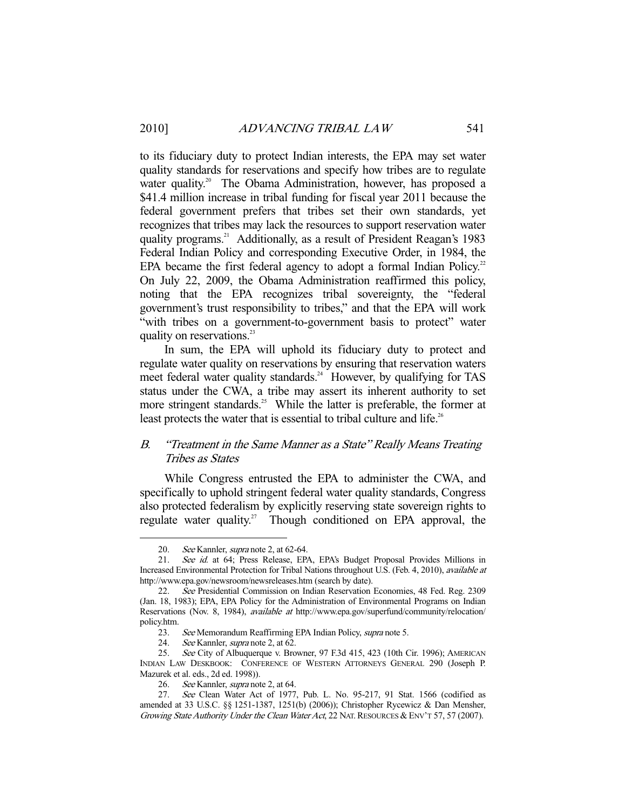to its fiduciary duty to protect Indian interests, the EPA may set water quality standards for reservations and specify how tribes are to regulate water quality.<sup>20</sup> The Obama Administration, however, has proposed a \$41.4 million increase in tribal funding for fiscal year 2011 because the federal government prefers that tribes set their own standards, yet recognizes that tribes may lack the resources to support reservation water quality programs.21 Additionally, as a result of President Reagan's 1983 Federal Indian Policy and corresponding Executive Order, in 1984, the EPA became the first federal agency to adopt a formal Indian Policy. $2^2$ On July 22, 2009, the Obama Administration reaffirmed this policy, noting that the EPA recognizes tribal sovereignty, the "federal government's trust responsibility to tribes," and that the EPA will work "with tribes on a government-to-government basis to protect" water quality on reservations.<sup>23</sup>

 In sum, the EPA will uphold its fiduciary duty to protect and regulate water quality on reservations by ensuring that reservation waters meet federal water quality standards.<sup>24</sup> However, by qualifying for TAS status under the CWA, a tribe may assert its inherent authority to set more stringent standards.<sup>25</sup> While the latter is preferable, the former at least protects the water that is essential to tribal culture and life.<sup>26</sup>

## B. "Treatment in the Same Manner as a State" Really Means Treating Tribes as States

 While Congress entrusted the EPA to administer the CWA, and specifically to uphold stringent federal water quality standards, Congress also protected federalism by explicitly reserving state sovereign rights to regulate water quality.<sup>27</sup> Though conditioned on EPA approval, the

<sup>20.</sup> See Kannler, *supra* note 2, at 62-64.<br>21. See id. at 64; Press Release, EP.

See id. at 64; Press Release, EPA, EPA's Budget Proposal Provides Millions in Increased Environmental Protection for Tribal Nations throughout U.S. (Feb. 4, 2010), available at http://www.epa.gov/newsroom/newsreleases.htm (search by date).

 <sup>22.</sup> See Presidential Commission on Indian Reservation Economies, 48 Fed. Reg. 2309 (Jan. 18, 1983); EPA, EPA Policy for the Administration of Environmental Programs on Indian Reservations (Nov. 8, 1984), available at http://www.epa.gov/superfund/community/relocation/ policy.htm.

<sup>23.</sup> See Memorandum Reaffirming EPA Indian Policy, supra note 5.

<sup>24.</sup> See Kannler, *supra* note 2, at 62.

 <sup>25.</sup> See City of Albuquerque v. Browner, 97 F.3d 415, 423 (10th Cir. 1996); AMERICAN INDIAN LAW DESKBOOK: CONFERENCE OF WESTERN ATTORNEYS GENERAL 290 (Joseph P. Mazurek et al. eds., 2d ed. 1998)).

<sup>26.</sup> See Kannler, supra note 2, at 64.

 <sup>27.</sup> See Clean Water Act of 1977, Pub. L. No. 95-217, 91 Stat. 1566 (codified as amended at 33 U.S.C. §§ 1251-1387, 1251(b) (2006)); Christopher Rycewicz & Dan Mensher, Growing State Authority Under the Clean Water Act, 22 NAT. RESOURCES & ENV'T 57, 57 (2007).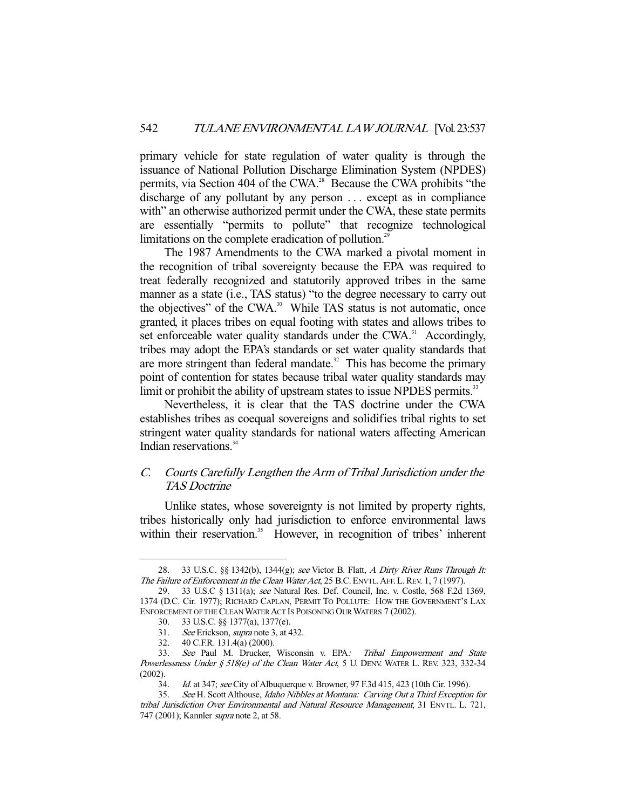primary vehicle for state regulation of water quality is through the issuance of National Pollution Discharge Elimination System (NPDES) permits, via Section 404 of the CWA.28 Because the CWA prohibits "the discharge of any pollutant by any person . . . except as in compliance with" an otherwise authorized permit under the CWA, these state permits are essentially "permits to pollute" that recognize technological limitations on the complete eradication of pollution.<sup>29</sup>

 The 1987 Amendments to the CWA marked a pivotal moment in the recognition of tribal sovereignty because the EPA was required to treat federally recognized and statutorily approved tribes in the same manner as a state (i.e., TAS status) "to the degree necessary to carry out the objectives" of the CWA.<sup>30</sup> While TAS status is not automatic, once granted, it places tribes on equal footing with states and allows tribes to set enforceable water quality standards under the  $CWA$ <sup>31</sup> Accordingly, tribes may adopt the EPA's standards or set water quality standards that are more stringent than federal mandate.<sup>32</sup> This has become the primary point of contention for states because tribal water quality standards may limit or prohibit the ability of upstream states to issue NPDES permits.<sup>33</sup>

 Nevertheless, it is clear that the TAS doctrine under the CWA establishes tribes as coequal sovereigns and solidifies tribal rights to set stringent water quality standards for national waters affecting American Indian reservations.<sup>34</sup>

# C. Courts Carefully Lengthen the Arm of Tribal Jurisdiction under the TAS Doctrine

 Unlike states, whose sovereignty is not limited by property rights, tribes historically only had jurisdiction to enforce environmental laws within their reservation.<sup>35</sup> However, in recognition of tribes' inherent

<sup>28. 33</sup> U.S.C. §§ 1342(b), 1344(g); see Victor B. Flatt, A Dirty River Runs Through It: The Failure of Enforcement in the Clean Water Act, 25 B.C. ENVTL. AFF. L. REV. 1, 7 (1997).

 <sup>29. 33</sup> U.S.C § 1311(a); see Natural Res. Def. Council, Inc. v. Costle, 568 F.2d 1369, 1374 (D.C. Cir. 1977); RICHARD CAPLAN, PERMIT TO POLLUTE: HOW THE GOVERNMENT'S LAX ENFORCEMENT OF THE CLEAN WATER ACT IS POISONING OUR WATERS 7 (2002).

 <sup>30. 33</sup> U.S.C. §§ 1377(a), 1377(e).

 <sup>31.</sup> See Erickson, supra note 3, at 432.

 <sup>32. 40</sup> C.F.R. 131.4(a) (2000).

 <sup>33.</sup> See Paul M. Drucker, Wisconsin v. EPA: Tribal Empowerment and State Powerlessness Under  $§$  518(e) of the Clean Water Act, 5 U. DENV. WATER L. REV. 323, 332-34 (2002).

<sup>34.</sup> Id. at 347; see City of Albuquerque v. Browner, 97 F.3d 415, 423 (10th Cir. 1996).

 <sup>35.</sup> See H. Scott Althouse, Idaho Nibbles at Montana: Carving Out a Third Exception for tribal Jurisdiction Over Environmental and Natural Resource Management, 31 ENVTL. L. 721, 747 (2001); Kannler supra note 2, at 58.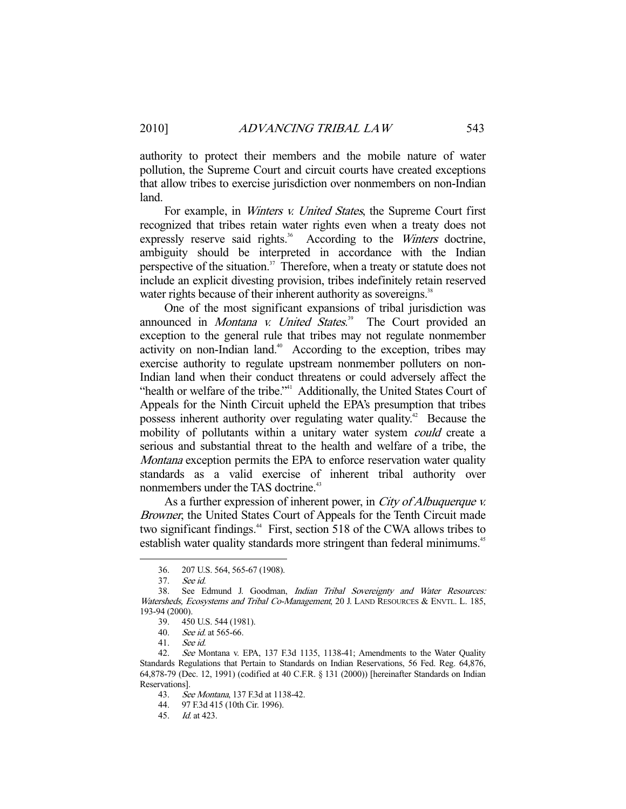authority to protect their members and the mobile nature of water pollution, the Supreme Court and circuit courts have created exceptions that allow tribes to exercise jurisdiction over nonmembers on non-Indian land.

For example, in *Winters v. United States*, the Supreme Court first recognized that tribes retain water rights even when a treaty does not expressly reserve said rights. $36$  According to the *Winters* doctrine, ambiguity should be interpreted in accordance with the Indian perspective of the situation.<sup>37</sup> Therefore, when a treaty or statute does not include an explicit divesting provision, tribes indefinitely retain reserved water rights because of their inherent authority as sovereigns.<sup>38</sup>

 One of the most significant expansions of tribal jurisdiction was announced in *Montana v. United States*.<sup>39</sup> The Court provided an exception to the general rule that tribes may not regulate nonmember activity on non-Indian land.<sup>40</sup> According to the exception, tribes may exercise authority to regulate upstream nonmember polluters on non-Indian land when their conduct threatens or could adversely affect the "health or welfare of the tribe."<sup>41</sup> Additionally, the United States Court of Appeals for the Ninth Circuit upheld the EPA's presumption that tribes possess inherent authority over regulating water quality.<sup>42</sup> Because the mobility of pollutants within a unitary water system *could* create a serious and substantial threat to the health and welfare of a tribe, the Montana exception permits the EPA to enforce reservation water quality standards as a valid exercise of inherent tribal authority over nonmembers under the TAS doctrine.<sup>43</sup>

As a further expression of inherent power, in City of Albuquerque v. Browner, the United States Court of Appeals for the Tenth Circuit made two significant findings.44 First, section 518 of the CWA allows tribes to establish water quality standards more stringent than federal minimums.<sup>45</sup>

 <sup>36. 207</sup> U.S. 564, 565-67 (1908).

 <sup>37.</sup> See id.

 <sup>38.</sup> See Edmund J. Goodman, Indian Tribal Sovereignty and Water Resources: Watersheds, Ecosystems and Tribal Co-Management, 20 J. LAND RESOURCES & ENVTL. L. 185, 193-94 (2000).

 <sup>39. 450</sup> U.S. 544 (1981).

 <sup>40.</sup> See id. at 565-66.

 <sup>41.</sup> See id.

 <sup>42.</sup> See Montana v. EPA, 137 F.3d 1135, 1138-41; Amendments to the Water Quality Standards Regulations that Pertain to Standards on Indian Reservations, 56 Fed. Reg. 64,876, 64,878-79 (Dec. 12, 1991) (codified at 40 C.F.R. § 131 (2000)) [hereinafter Standards on Indian Reservations].

<sup>43.</sup> See Montana, 137 F.3d at 1138-42.<br>44. 97 F.3d 415 (10th Cir. 1996).

<sup>97</sup> F.3d 415 (10th Cir. 1996).

 <sup>45.</sup> Id. at 423.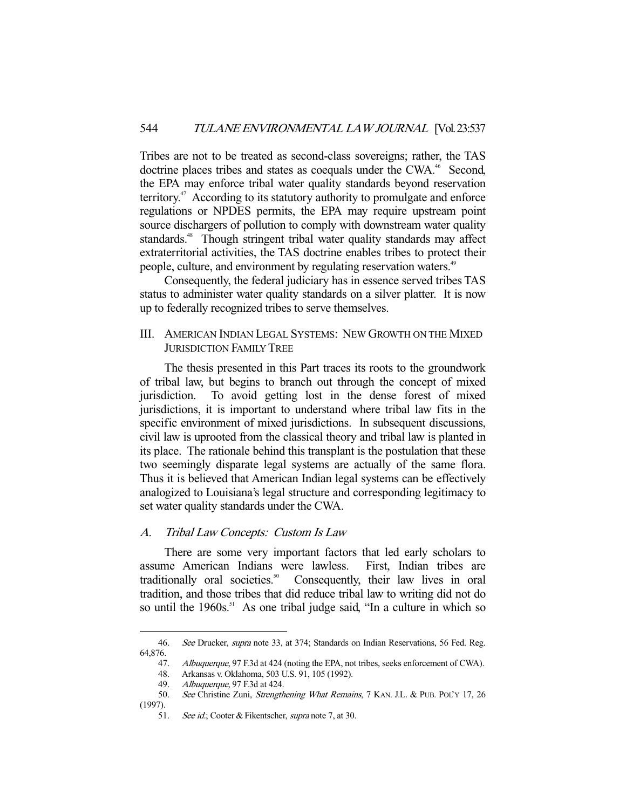Tribes are not to be treated as second-class sovereigns; rather, the TAS doctrine places tribes and states as coequals under the CWA.<sup>46</sup> Second, the EPA may enforce tribal water quality standards beyond reservation territory. $47$  According to its statutory authority to promulgate and enforce regulations or NPDES permits, the EPA may require upstream point source dischargers of pollution to comply with downstream water quality standards.<sup>48</sup> Though stringent tribal water quality standards may affect extraterritorial activities, the TAS doctrine enables tribes to protect their people, culture, and environment by regulating reservation waters.<sup>49</sup>

 Consequently, the federal judiciary has in essence served tribes TAS status to administer water quality standards on a silver platter. It is now up to federally recognized tribes to serve themselves.

III. AMERICAN INDIAN LEGAL SYSTEMS: NEW GROWTH ON THE MIXED JURISDICTION FAMILY TREE

 The thesis presented in this Part traces its roots to the groundwork of tribal law, but begins to branch out through the concept of mixed jurisdiction. To avoid getting lost in the dense forest of mixed jurisdictions, it is important to understand where tribal law fits in the specific environment of mixed jurisdictions. In subsequent discussions, civil law is uprooted from the classical theory and tribal law is planted in its place. The rationale behind this transplant is the postulation that these two seemingly disparate legal systems are actually of the same flora. Thus it is believed that American Indian legal systems can be effectively analogized to Louisiana's legal structure and corresponding legitimacy to set water quality standards under the CWA.

#### A. Tribal Law Concepts: Custom Is Law

 There are some very important factors that led early scholars to assume American Indians were lawless. First, Indian tribes are traditionally oral societies.<sup>50</sup> Consequently, their law lives in oral tradition, and those tribes that did reduce tribal law to writing did not do so until the 1960s.<sup>51</sup> As one tribal judge said, "In a culture in which so

<sup>46.</sup> See Drucker, *supra* note 33, at 374; Standards on Indian Reservations, 56 Fed. Reg. 64,876.

<sup>47.</sup> Albuquerque, 97 F.3d at 424 (noting the EPA, not tribes, seeks enforcement of CWA).

 <sup>48.</sup> Arkansas v. Oklahoma, 503 U.S. 91, 105 (1992).

<sup>49.</sup> Albuquerque, 97 F.3d at 424.<br>50. See Christine Zuni, Strength See Christine Zuni, Strengthening What Remains, 7 KAN. J.L. & PUB. POL'Y 17, 26 (1997).

<sup>51.</sup> See id.; Cooter & Fikentscher, supra note 7, at 30.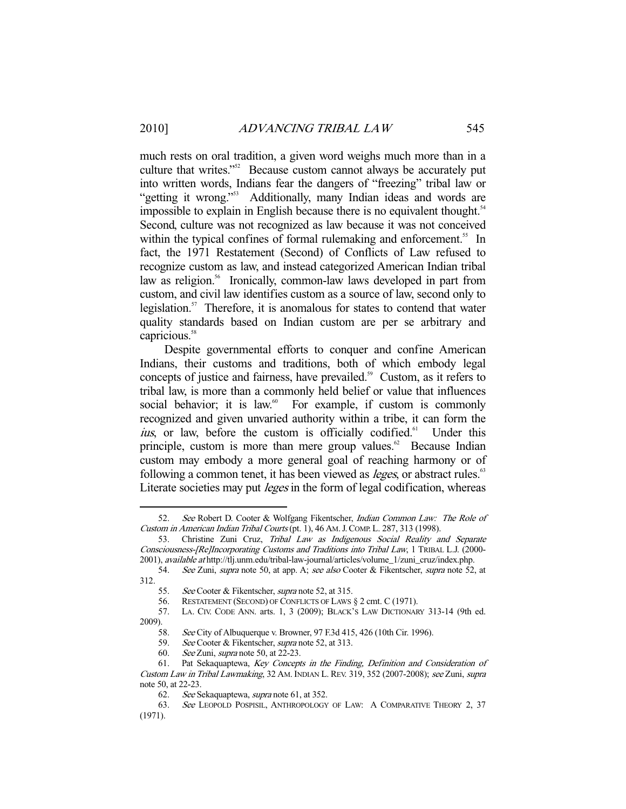-

much rests on oral tradition, a given word weighs much more than in a culture that writes."52 Because custom cannot always be accurately put into written words, Indians fear the dangers of "freezing" tribal law or "getting it wrong."<sup>53</sup> Additionally, many Indian ideas and words are impossible to explain in English because there is no equivalent thought.<sup>54</sup> Second, culture was not recognized as law because it was not conceived within the typical confines of formal rulemaking and enforcement.<sup>55</sup> In fact, the 1971 Restatement (Second) of Conflicts of Law refused to recognize custom as law, and instead categorized American Indian tribal law as religion.<sup>56</sup> Ironically, common-law laws developed in part from custom, and civil law identifies custom as a source of law, second only to legislation.<sup>57</sup> Therefore, it is anomalous for states to contend that water quality standards based on Indian custom are per se arbitrary and capricious.<sup>58</sup>

 Despite governmental efforts to conquer and confine American Indians, their customs and traditions, both of which embody legal concepts of justice and fairness, have prevailed.<sup>59</sup> Custom, as it refers to tribal law, is more than a commonly held belief or value that influences social behavior; it is law. $60$  For example, if custom is commonly recognized and given unvaried authority within a tribe, it can form the ius, or law, before the custom is officially codified.<sup>61</sup> Under this principle, custom is more than mere group values. $62$  Because Indian custom may embody a more general goal of reaching harmony or of following a common tenet, it has been viewed as *leges*, or abstract rules.<sup>63</sup> Literate societies may put *leges* in the form of legal codification, whereas

 <sup>52.</sup> See Robert D. Cooter & Wolfgang Fikentscher, Indian Common Law: The Role of Custom in American Indian Tribal Courts (pt. 1), 46 AM.J.COMP. L. 287, 313 (1998).

<sup>53.</sup> Christine Zuni Cruz, Tribal Law as Indigenous Social Reality and Separate Consciousness-[Re]Incorporating Customs and Traditions into Tribal Law, 1 TRIBAL L.J. (2000- 2001), available at http://tlj.unm.edu/tribal-law-journal/articles/volume\_1/zuni\_cruz/index.php.

 <sup>54.</sup> See Zuni, supra note 50, at app. A; see also Cooter & Fikentscher, supra note 52, at  $312.$  55.

See Cooter & Fikentscher, *supra* note 52, at 315.

 <sup>56.</sup> RESTATEMENT (SECOND) OF CONFLICTS OF LAWS § 2 cmt. C (1971).

 <sup>57.</sup> LA. CIV. CODE ANN. arts. 1, 3 (2009); BLACK'S LAW DICTIONARY 313-14 (9th ed. 2009).

<sup>58.</sup> See City of Albuquerque v. Browner, 97 F.3d 415, 426 (10th Cir. 1996).<br>59. See Cooter & Fikentscher, *supra* note 52, at 313.

<sup>59.</sup> See Cooter & Fikentscher, supra note 52, at 313.<br>60. See Zuni, supra note 50, at 22-23.

See Zuni, supra note 50, at 22-23.

 <sup>61.</sup> Pat Sekaquaptewa, Key Concepts in the Finding, Definition and Consideration of Custom Law in Tribal Lawmaking, 32 AM. INDIAN L. REV. 319, 352 (2007-2008); see Zuni, supra note 50, at 22-23.

<sup>62.</sup> See Sekaquaptewa, *supra* note 61, at 352.

 <sup>63.</sup> See LEOPOLD POSPISIL, ANTHROPOLOGY OF LAW: A COMPARATIVE THEORY 2, 37 (1971).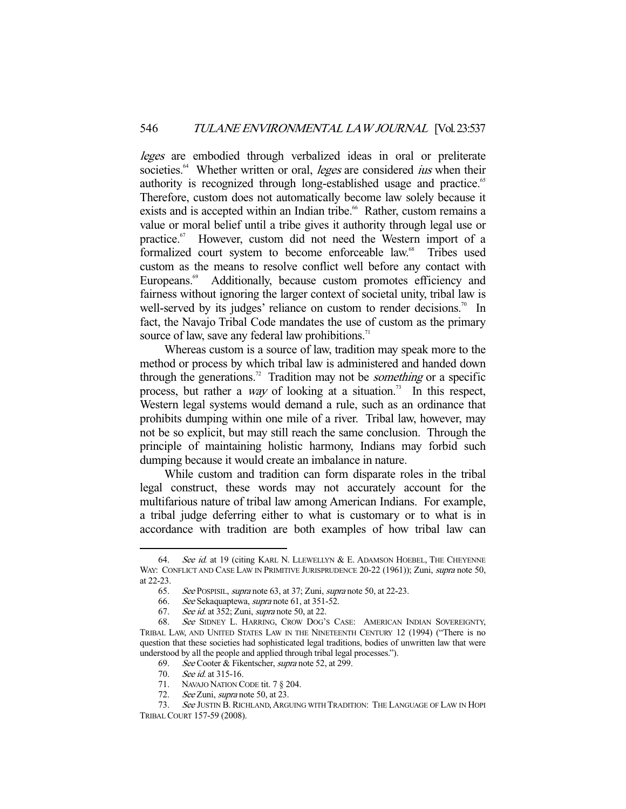leges are embodied through verbalized ideas in oral or preliterate societies.<sup>64</sup> Whether written or oral, *leges* are considered *ius* when their authority is recognized through long-established usage and practice.<sup>65</sup> Therefore, custom does not automatically become law solely because it exists and is accepted within an Indian tribe.<sup>66</sup> Rather, custom remains a value or moral belief until a tribe gives it authority through legal use or practice.<sup>67</sup> However, custom did not need the Western import of a formalized court system to become enforceable law.<sup>68</sup> Tribes used custom as the means to resolve conflict well before any contact with Europeans.<sup>69</sup> Additionally, because custom promotes efficiency and fairness without ignoring the larger context of societal unity, tribal law is well-served by its judges' reliance on custom to render decisions.<sup>70</sup> In fact, the Navajo Tribal Code mandates the use of custom as the primary source of law, save any federal law prohibitions.<sup>71</sup>

 Whereas custom is a source of law, tradition may speak more to the method or process by which tribal law is administered and handed down through the generations.<sup>72</sup> Tradition may not be *something* or a specific process, but rather a *way* of looking at a situation.<sup>73</sup> In this respect, Western legal systems would demand a rule, such as an ordinance that prohibits dumping within one mile of a river. Tribal law, however, may not be so explicit, but may still reach the same conclusion. Through the principle of maintaining holistic harmony, Indians may forbid such dumping because it would create an imbalance in nature.

 While custom and tradition can form disparate roles in the tribal legal construct, these words may not accurately account for the multifarious nature of tribal law among American Indians. For example, a tribal judge deferring either to what is customary or to what is in accordance with tradition are both examples of how tribal law can

<sup>64.</sup> See id. at 19 (citing KARL N. LLEWELLYN & E. ADAMSON HOEBEL, THE CHEYENNE WAY: CONFLICT AND CASE LAW IN PRIMITIVE JURISPRUDENCE 20-22 (1961)); Zuni, *supra* note 50, at 22-23.

 <sup>65.</sup> See POSPISIL, supra note 63, at 37; Zuni, supra note 50, at 22-23.

 <sup>66.</sup> See Sekaquaptewa, supra note 61, at 351-52.

 <sup>67.</sup> See id. at 352; Zuni, supra note 50, at 22.

 <sup>68.</sup> See SIDNEY L. HARRING, CROW DOG'S CASE: AMERICAN INDIAN SOVEREIGNTY, TRIBAL LAW, AND UNITED STATES LAW IN THE NINETEENTH CENTURY 12 (1994) ("There is no question that these societies had sophisticated legal traditions, bodies of unwritten law that were understood by all the people and applied through tribal legal processes.").

 <sup>69.</sup> See Cooter & Fikentscher, supra note 52, at 299.

<sup>70.</sup> See id. at 315-16.

 <sup>71.</sup> NAVAJO NATION CODE tit. 7 § 204.

<sup>72.</sup> See Zuni, supra note 50, at 23.

<sup>73.</sup> See JUSTIN B. RICHLAND, ARGUING WITH TRADITION: THE LANGUAGE OF LAW IN HOPI TRIBAL COURT 157-59 (2008).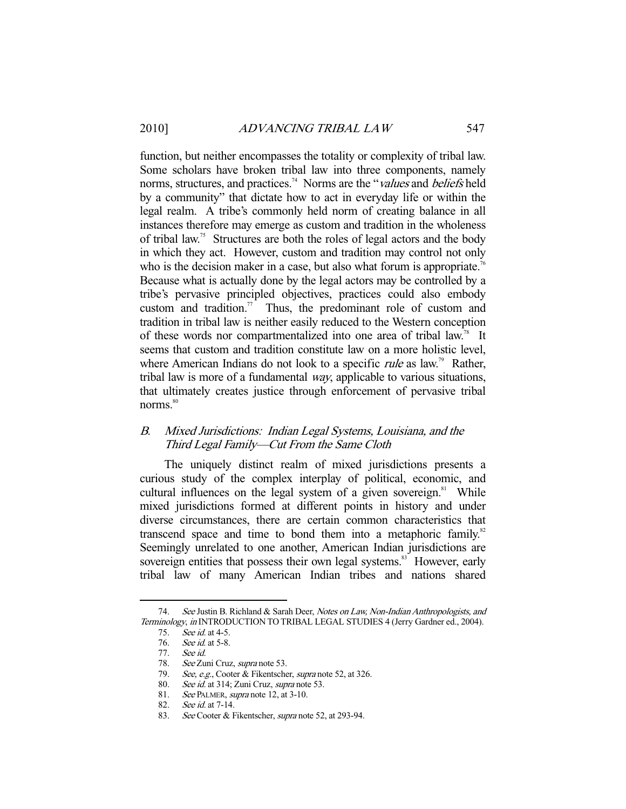function, but neither encompasses the totality or complexity of tribal law. Some scholars have broken tribal law into three components, namely norms, structures, and practices.<sup>74</sup> Norms are the "values and beliefs held by a community" that dictate how to act in everyday life or within the legal realm. A tribe's commonly held norm of creating balance in all instances therefore may emerge as custom and tradition in the wholeness of tribal law.<sup>75</sup> Structures are both the roles of legal actors and the body in which they act. However, custom and tradition may control not only who is the decision maker in a case, but also what forum is appropriate.<sup>76</sup> Because what is actually done by the legal actors may be controlled by a tribe's pervasive principled objectives, practices could also embody custom and tradition.<sup>77</sup> Thus, the predominant role of custom and tradition in tribal law is neither easily reduced to the Western conception of these words nor compartmentalized into one area of tribal law.<sup>78</sup> It seems that custom and tradition constitute law on a more holistic level, where American Indians do not look to a specific *rule* as law.<sup>79</sup> Rather, tribal law is more of a fundamental way, applicable to various situations, that ultimately creates justice through enforcement of pervasive tribal norms.<sup>80</sup>

## B. Mixed Jurisdictions: Indian Legal Systems, Louisiana, and the Third Legal Family—Cut From the Same Cloth

 The uniquely distinct realm of mixed jurisdictions presents a curious study of the complex interplay of political, economic, and cultural influences on the legal system of a given sovereign. $81$  While mixed jurisdictions formed at different points in history and under diverse circumstances, there are certain common characteristics that transcend space and time to bond them into a metaphoric family. $82$ Seemingly unrelated to one another, American Indian jurisdictions are sovereign entities that possess their own legal systems.<sup>83</sup> However, early tribal law of many American Indian tribes and nations shared

<sup>74.</sup> See Justin B. Richland & Sarah Deer, Notes on Law, Non-Indian Anthropologists, and Terminology, in INTRODUCTION TO TRIBAL LEGAL STUDIES 4 (Jerry Gardner ed., 2004).

 <sup>75.</sup> See id. at 4-5.

 <sup>76.</sup> See id. at 5-8.

 <sup>77.</sup> See id.

<sup>78.</sup> See Zuni Cruz, supra note 53.

<sup>79.</sup> *See, e.g.*, Cooter & Fikentscher, *supra* note 52, at 326.

<sup>80.</sup> See id. at 314; Zuni Cruz, supra note 53.

<sup>81.</sup> See PALMER, supra note 12, at 3-10.

 <sup>82.</sup> See id. at 7-14.

<sup>83.</sup> See Cooter & Fikentscher, supra note 52, at 293-94.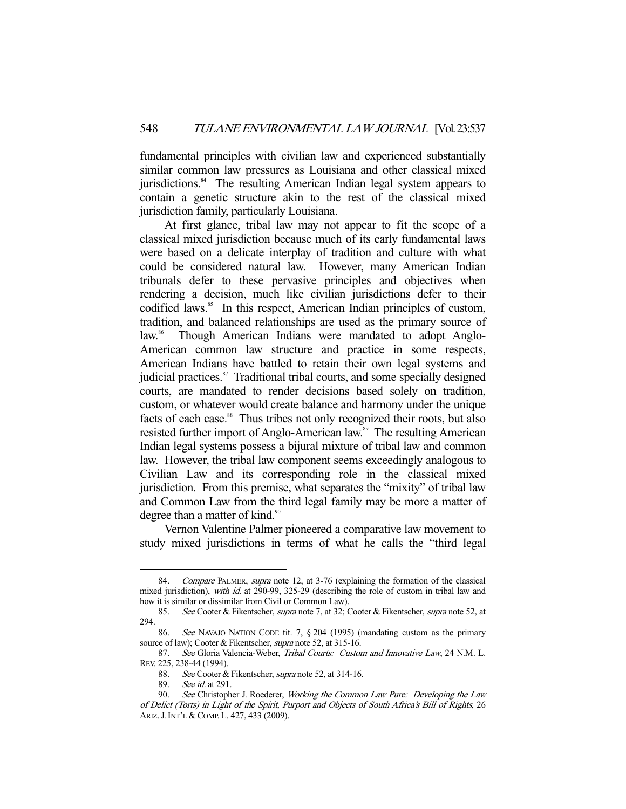fundamental principles with civilian law and experienced substantially similar common law pressures as Louisiana and other classical mixed jurisdictions.<sup>84</sup> The resulting American Indian legal system appears to contain a genetic structure akin to the rest of the classical mixed jurisdiction family, particularly Louisiana.

 At first glance, tribal law may not appear to fit the scope of a classical mixed jurisdiction because much of its early fundamental laws were based on a delicate interplay of tradition and culture with what could be considered natural law. However, many American Indian tribunals defer to these pervasive principles and objectives when rendering a decision, much like civilian jurisdictions defer to their codified laws.<sup>85</sup> In this respect, American Indian principles of custom, tradition, and balanced relationships are used as the primary source of law.<sup>86</sup> Though American Indians were mandated to adopt Anglo-American common law structure and practice in some respects, American Indians have battled to retain their own legal systems and judicial practices. $s<sup>87</sup>$  Traditional tribal courts, and some specially designed courts, are mandated to render decisions based solely on tradition, custom, or whatever would create balance and harmony under the unique facts of each case.<sup>88</sup> Thus tribes not only recognized their roots, but also resisted further import of Anglo-American law.<sup>89</sup> The resulting American Indian legal systems possess a bijural mixture of tribal law and common law. However, the tribal law component seems exceedingly analogous to Civilian Law and its corresponding role in the classical mixed jurisdiction. From this premise, what separates the "mixity" of tribal law and Common Law from the third legal family may be more a matter of degree than a matter of kind.<sup>90</sup>

 Vernon Valentine Palmer pioneered a comparative law movement to study mixed jurisdictions in terms of what he calls the "third legal

<sup>84.</sup> Compare PALMER, supra note 12, at 3-76 (explaining the formation of the classical mixed jurisdiction), with id. at 290-99, 325-29 (describing the role of custom in tribal law and how it is similar or dissimilar from Civil or Common Law).

 <sup>85.</sup> See Cooter & Fikentscher, supra note 7, at 32; Cooter & Fikentscher, supra note 52, at 294.

 <sup>86.</sup> See NAVAJO NATION CODE tit. 7, § 204 (1995) (mandating custom as the primary source of law); Cooter & Fikentscher, *supra* note 52, at 315-16.

<sup>87.</sup> See Gloria Valencia-Weber, Tribal Courts: Custom and Innovative Law, 24 N.M. L. REV. 225, 238-44 (1994).

<sup>88.</sup> See Cooter & Fikentscher, supra note 52, at 314-16.

 <sup>89.</sup> See id. at 291.

<sup>90.</sup> See Christopher J. Roederer, Working the Common Law Pure: Developing the Law of Delict (Torts) in Light of the Spirit, Purport and Objects of South Africa's Bill of Rights, 26 ARIZ.J.INT'L & COMP. L. 427, 433 (2009).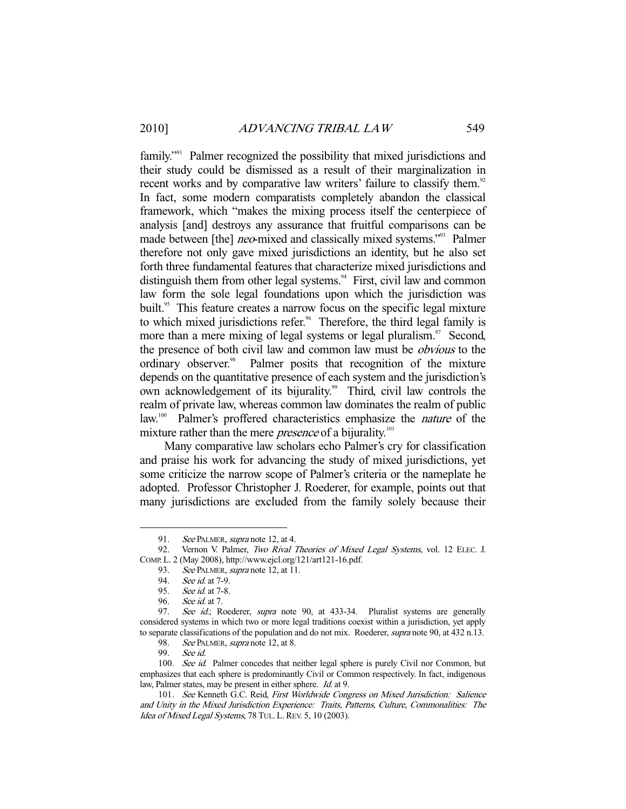family."91 Palmer recognized the possibility that mixed jurisdictions and their study could be dismissed as a result of their marginalization in recent works and by comparative law writers' failure to classify them.<sup>92</sup> In fact, some modern comparatists completely abandon the classical framework, which "makes the mixing process itself the centerpiece of analysis [and] destroys any assurance that fruitful comparisons can be made between [the] *neo*-mixed and classically mixed systems."<sup>93</sup> Palmer therefore not only gave mixed jurisdictions an identity, but he also set forth three fundamental features that characterize mixed jurisdictions and distinguish them from other legal systems.<sup>94</sup> First, civil law and common law form the sole legal foundations upon which the jurisdiction was built.<sup>95</sup> This feature creates a narrow focus on the specific legal mixture to which mixed jurisdictions refer.<sup>96</sup> Therefore, the third legal family is more than a mere mixing of legal systems or legal pluralism. $\frac{97}{10}$  Second, the presence of both civil law and common law must be *obvious* to the ordinary observer.<sup>98</sup> Palmer posits that recognition of the mixture depends on the quantitative presence of each system and the jurisdiction's own acknowledgement of its bijurality.<sup>99</sup> Third, civil law controls the realm of private law, whereas common law dominates the realm of public law.<sup>100</sup> Palmer's proffered characteristics emphasize the *nature* of the mixture rather than the mere *presence* of a bijurality.<sup>101</sup>

 Many comparative law scholars echo Palmer's cry for classification and praise his work for advancing the study of mixed jurisdictions, yet some criticize the narrow scope of Palmer's criteria or the nameplate he adopted. Professor Christopher J. Roederer, for example, points out that many jurisdictions are excluded from the family solely because their

<sup>91.</sup> See PALMER, supra note 12, at 4.<br>92. Vernon V. Palmer, Two Rival 1

Vernon V. Palmer, Two Rival Theories of Mixed Legal Systems, vol. 12 ELEC. J. COMP. L. 2 (May 2008), http://www.ejcl.org/121/art121-16.pdf.

<sup>93.</sup> See PALMER, supra note 12, at 11.

 <sup>94.</sup> See id. at 7-9.

 <sup>95.</sup> See id. at 7-8.

<sup>96.</sup> *See id.* at 7.<br>97. *See id.*: Ro

See id.; Roederer, supra note 90, at 433-34. Pluralist systems are generally considered systems in which two or more legal traditions coexist within a jurisdiction, yet apply to separate classifications of the population and do not mix. Roederer, *supra* note 90, at 432 n.13.

<sup>98.</sup> See PALMER, *supra* note 12, at 8.

 <sup>99.</sup> See id.

<sup>100.</sup> See id. Palmer concedes that neither legal sphere is purely Civil nor Common, but emphasizes that each sphere is predominantly Civil or Common respectively. In fact, indigenous law, Palmer states, may be present in either sphere. Id. at 9.

<sup>101.</sup> See Kenneth G.C. Reid, First Worldwide Congress on Mixed Jurisdiction: Salience and Unity in the Mixed Jurisdiction Experience: Traits, Patterns, Culture, Commonalities: The Idea of Mixed Legal Systems, 78 TUL. L. REV. 5, 10 (2003).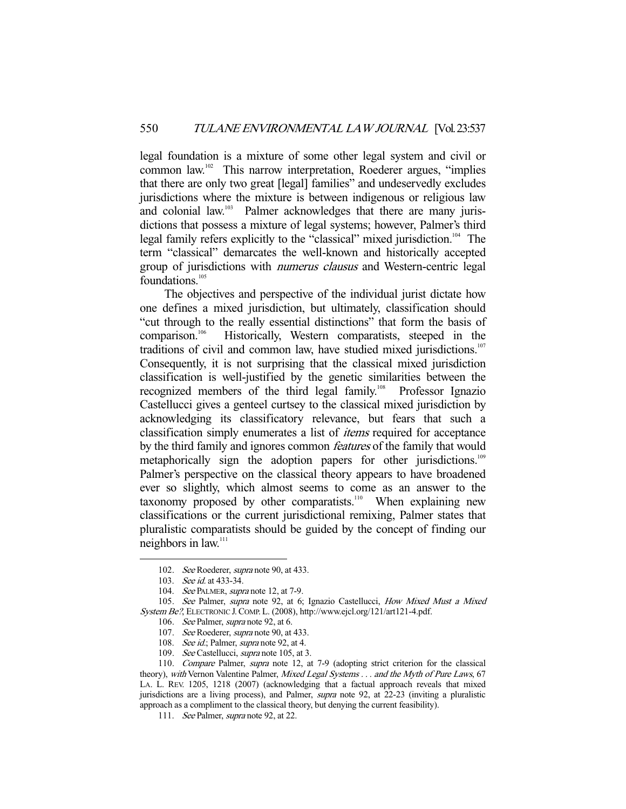legal foundation is a mixture of some other legal system and civil or common law.102 This narrow interpretation, Roederer argues, "implies that there are only two great [legal] families" and undeservedly excludes jurisdictions where the mixture is between indigenous or religious law and colonial law.<sup>103</sup> Palmer acknowledges that there are many jurisdictions that possess a mixture of legal systems; however, Palmer's third legal family refers explicitly to the "classical" mixed jurisdiction.<sup>104</sup> The term "classical" demarcates the well-known and historically accepted group of jurisdictions with numerus clausus and Western-centric legal foundations.<sup>105</sup>

 The objectives and perspective of the individual jurist dictate how one defines a mixed jurisdiction, but ultimately, classification should "cut through to the really essential distinctions" that form the basis of comparison.106 Historically, Western comparatists, steeped in the traditions of civil and common law, have studied mixed jurisdictions.<sup>107</sup> Consequently, it is not surprising that the classical mixed jurisdiction classification is well-justified by the genetic similarities between the recognized members of the third legal family.<sup>108</sup> Professor Ignazio Castellucci gives a genteel curtsey to the classical mixed jurisdiction by acknowledging its classificatory relevance, but fears that such a classification simply enumerates a list of *items* required for acceptance by the third family and ignores common *features* of the family that would metaphorically sign the adoption papers for other jurisdictions.<sup>109</sup> Palmer's perspective on the classical theory appears to have broadened ever so slightly, which almost seems to come as an answer to the taxonomy proposed by other comparatists.<sup>110</sup> When explaining new classifications or the current jurisdictional remixing, Palmer states that pluralistic comparatists should be guided by the concept of finding our neighbors in law.<sup>111</sup>

<sup>102.</sup> See Roederer, supra note 90, at 433.

<sup>103.</sup> See id. at 433-34.

<sup>104.</sup> See PALMER, supra note 12, at 7-9.

<sup>105.</sup> See Palmer, supra note 92, at 6; Ignazio Castellucci, How Mixed Must a Mixed System Be?, ELECTRONIC J.COMP. L. (2008), http://www.ejcl.org/121/art121-4.pdf.

<sup>106.</sup> See Palmer, supra note 92, at 6.

<sup>107.</sup> See Roederer, *supra* note 90, at 433.

<sup>108.</sup> See id.; Palmer, supra note 92, at 4.

<sup>109.</sup> See Castellucci, supra note 105, at 3.

 <sup>110.</sup> Compare Palmer, supra note 12, at 7-9 (adopting strict criterion for the classical theory), with Vernon Valentine Palmer, Mixed Legal Systems . . . and the Myth of Pure Laws, 67 LA. L. REV. 1205, 1218 (2007) (acknowledging that a factual approach reveals that mixed jurisdictions are a living process), and Palmer, supra note 92, at 22-23 (inviting a pluralistic approach as a compliment to the classical theory, but denying the current feasibility).

<sup>111.</sup> See Palmer, supra note 92, at 22.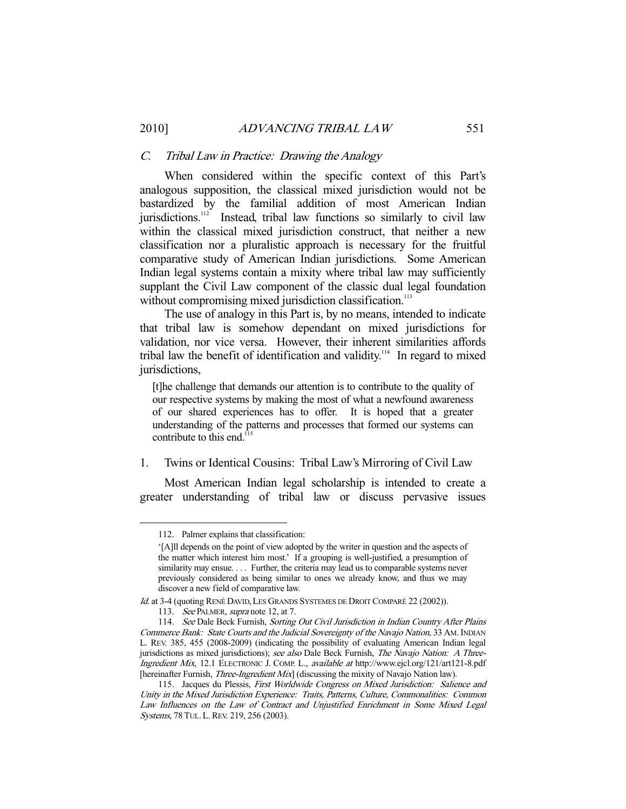#### C. Tribal Law in Practice: Drawing the Analogy

 When considered within the specific context of this Part's analogous supposition, the classical mixed jurisdiction would not be bastardized by the familial addition of most American Indian jurisdictions.<sup>112</sup> Instead, tribal law functions so similarly to civil law within the classical mixed jurisdiction construct, that neither a new classification nor a pluralistic approach is necessary for the fruitful comparative study of American Indian jurisdictions. Some American Indian legal systems contain a mixity where tribal law may sufficiently supplant the Civil Law component of the classic dual legal foundation without compromising mixed jurisdiction classification.<sup>113</sup>

 The use of analogy in this Part is, by no means, intended to indicate that tribal law is somehow dependant on mixed jurisdictions for validation, nor vice versa. However, their inherent similarities affords tribal law the benefit of identification and validity.<sup>114</sup> In regard to mixed jurisdictions,

[t]he challenge that demands our attention is to contribute to the quality of our respective systems by making the most of what a newfound awareness of our shared experiences has to offer. It is hoped that a greater understanding of the patterns and processes that formed our systems can contribute to this end. $115$ 

#### 1. Twins or Identical Cousins: Tribal Law's Mirroring of Civil Law

 Most American Indian legal scholarship is intended to create a greater understanding of tribal law or discuss pervasive issues

 <sup>112.</sup> Palmer explains that classification:

<sup>&#</sup>x27;[A]ll depends on the point of view adopted by the writer in question and the aspects of the matter which interest him most.' If a grouping is well-justified, a presumption of similarity may ensue. . . . Further, the criteria may lead us to comparable systems never previously considered as being similar to ones we already know, and thus we may discover a new field of comparative law.

Id. at 3-4 (quoting RENÉ DAVID, LES GRANDS SYSTEMES DE DROIT COMPARÉ 22 (2002)).

<sup>113.</sup> See PALMER, supra note 12, at 7.

<sup>114.</sup> See Dale Beck Furnish, Sorting Out Civil Jurisdiction in Indian Country After Plains Commerce Bank: State Courts and the Judicial Sovereignty of the Navajo Nation, 33 AM. INDIAN L. REV. 385, 455 (2008-2009) (indicating the possibility of evaluating American Indian legal jurisdictions as mixed jurisdictions); see also Dale Beck Furnish, The Navajo Nation: A Three-Ingredient Mix, 12.1 ELECTRONIC J. COMP. L., available at http://www.ejcl.org/121/art121-8.pdf [hereinafter Furnish, *Three-Ingredient Mix*] (discussing the mixity of Navajo Nation law).

<sup>115.</sup> Jacques du Plessis, First Worldwide Congress on Mixed Jurisdiction: Salience and Unity in the Mixed Jurisdiction Experience: Traits, Patterns, Culture, Commonalities: Common Law Influences on the Law of Contract and Unjustified Enrichment in Some Mixed Legal Systems, 78 TUL. L. REV. 219, 256 (2003).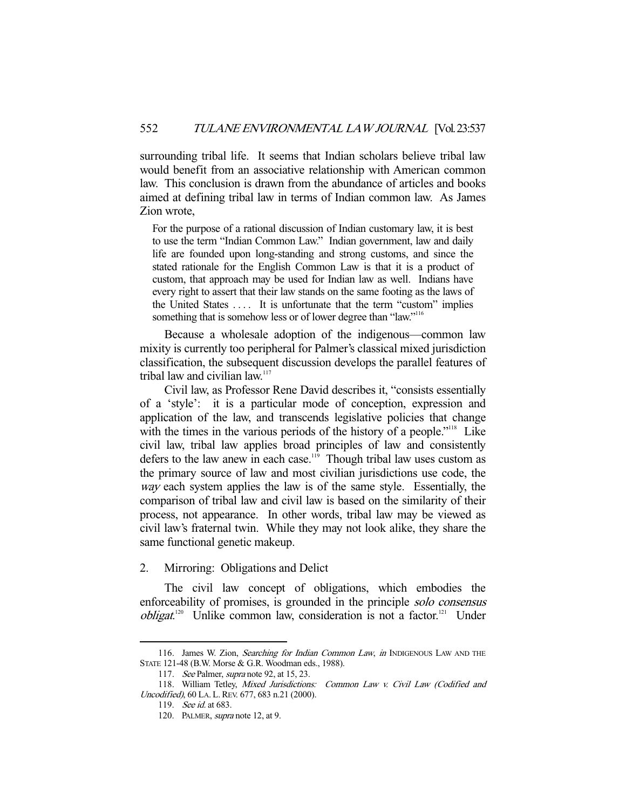surrounding tribal life. It seems that Indian scholars believe tribal law would benefit from an associative relationship with American common law. This conclusion is drawn from the abundance of articles and books aimed at defining tribal law in terms of Indian common law. As James Zion wrote,

For the purpose of a rational discussion of Indian customary law, it is best to use the term "Indian Common Law." Indian government, law and daily life are founded upon long-standing and strong customs, and since the stated rationale for the English Common Law is that it is a product of custom, that approach may be used for Indian law as well. Indians have every right to assert that their law stands on the same footing as the laws of the United States . . . . It is unfortunate that the term "custom" implies something that is somehow less or of lower degree than "law."<sup>116</sup>

 Because a wholesale adoption of the indigenous—common law mixity is currently too peripheral for Palmer's classical mixed jurisdiction classification, the subsequent discussion develops the parallel features of tribal law and civilian law.<sup>117</sup>

 Civil law, as Professor Rene David describes it, "consists essentially of a 'style': it is a particular mode of conception, expression and application of the law, and transcends legislative policies that change with the times in the various periods of the history of a people."<sup>118</sup> Like civil law, tribal law applies broad principles of law and consistently defers to the law anew in each case.<sup>119</sup> Though tribal law uses custom as the primary source of law and most civilian jurisdictions use code, the way each system applies the law is of the same style. Essentially, the comparison of tribal law and civil law is based on the similarity of their process, not appearance. In other words, tribal law may be viewed as civil law's fraternal twin. While they may not look alike, they share the same functional genetic makeup.

#### 2. Mirroring: Obligations and Delict

 The civil law concept of obligations, which embodies the enforceability of promises, is grounded in the principle solo consensus *obligat.*<sup>120</sup> Unlike common law, consideration is not a factor.<sup>121</sup> Under

<sup>116.</sup> James W. Zion, Searching for Indian Common Law, in INDIGENOUS LAW AND THE STATE 121-48 (B.W. Morse & G.R. Woodman eds., 1988).

<sup>117.</sup> *See* Palmer, *supra* note 92, at 15, 23.

<sup>118.</sup> William Tetley, Mixed Jurisdictions: Common Law v. Civil Law (Codified and Uncodified), 60 LA. L.REV. 677, 683 n.21 (2000).

 <sup>119.</sup> See id. at 683.

<sup>120.</sup> PALMER, supra note 12, at 9.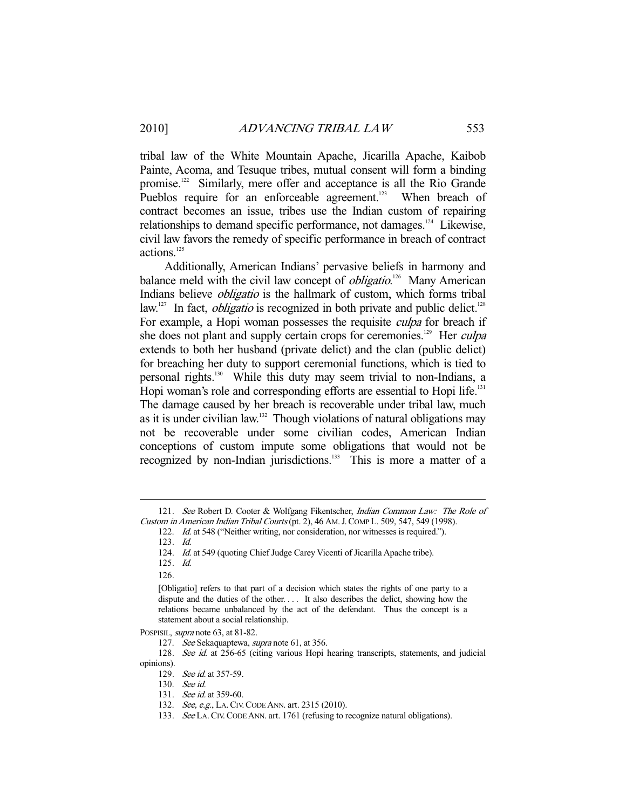tribal law of the White Mountain Apache, Jicarilla Apache, Kaibob Painte, Acoma, and Tesuque tribes, mutual consent will form a binding promise.122 Similarly, mere offer and acceptance is all the Rio Grande Pueblos require for an enforceable agreement.<sup>123</sup> When breach of contract becomes an issue, tribes use the Indian custom of repairing relationships to demand specific performance, not damages.124 Likewise, civil law favors the remedy of specific performance in breach of contract actions.<sup>125</sup>

 Additionally, American Indians' pervasive beliefs in harmony and balance meld with the civil law concept of *obligatio*.<sup>126</sup> Many American Indians believe obligatio is the hallmark of custom, which forms tribal law.<sup>127</sup> In fact, *obligatio* is recognized in both private and public delict.<sup>128</sup> For example, a Hopi woman possesses the requisite culpa for breach if she does not plant and supply certain crops for ceremonies.<sup>129</sup> Her *culpa* extends to both her husband (private delict) and the clan (public delict) for breaching her duty to support ceremonial functions, which is tied to personal rights.130 While this duty may seem trivial to non-Indians, a Hopi woman's role and corresponding efforts are essential to Hopi life.<sup>131</sup> The damage caused by her breach is recoverable under tribal law, much as it is under civilian law.132 Though violations of natural obligations may not be recoverable under some civilian codes, American Indian conceptions of custom impute some obligations that would not be recognized by non-Indian jurisdictions.<sup>133</sup> This is more a matter of a

125. Id.

126.

-

POSPISIL, supra note 63, at 81-82.

<sup>121.</sup> See Robert D. Cooter & Wolfgang Fikentscher, Indian Common Law: The Role of Custom in American Indian Tribal Courts (pt. 2), 46 AM.J.COMP L. 509, 547, 549 (1998).

<sup>122.</sup> *Id.* at 548 ("Neither writing, nor consideration, nor witnesses is required.").

 <sup>123.</sup> Id.

<sup>124.</sup> Id. at 549 (quoting Chief Judge Carey Vicenti of Jicarilla Apache tribe).

<sup>[</sup>Obligatio] refers to that part of a decision which states the rights of one party to a dispute and the duties of the other. . . . It also describes the delict, showing how the relations became unbalanced by the act of the defendant. Thus the concept is a statement about a social relationship.

<sup>127.</sup> See Sekaquaptewa, supra note 61, at 356.

<sup>128.</sup> See id. at 256-65 (citing various Hopi hearing transcripts, statements, and judicial opinions).

<sup>129.</sup> See id. at 357-59.

 <sup>130.</sup> See id.

<sup>131.</sup> *See id.* at 359-60.

<sup>132.</sup> See, e.g., LA. CIV. CODE ANN. art. 2315 (2010).

<sup>133.</sup> See LA. CIV. CODE ANN. art. 1761 (refusing to recognize natural obligations).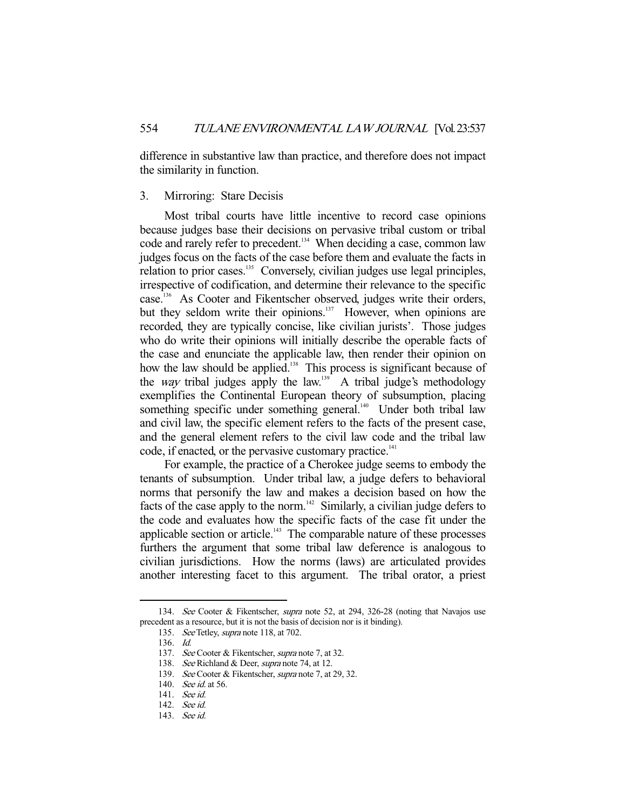difference in substantive law than practice, and therefore does not impact the similarity in function.

#### 3. Mirroring: Stare Decisis

 Most tribal courts have little incentive to record case opinions because judges base their decisions on pervasive tribal custom or tribal code and rarely refer to precedent.<sup>134</sup> When deciding a case, common law judges focus on the facts of the case before them and evaluate the facts in relation to prior cases.<sup>135</sup> Conversely, civilian judges use legal principles, irrespective of codification, and determine their relevance to the specific case.136 As Cooter and Fikentscher observed, judges write their orders, but they seldom write their opinions.<sup>137</sup> However, when opinions are recorded, they are typically concise, like civilian jurists'. Those judges who do write their opinions will initially describe the operable facts of the case and enunciate the applicable law, then render their opinion on how the law should be applied.<sup>138</sup> This process is significant because of the *way* tribal judges apply the law.<sup>139</sup> A tribal judge's methodology exemplifies the Continental European theory of subsumption, placing something specific under something general.<sup>140</sup> Under both tribal law and civil law, the specific element refers to the facts of the present case, and the general element refers to the civil law code and the tribal law code, if enacted, or the pervasive customary practice.<sup>141</sup>

 For example, the practice of a Cherokee judge seems to embody the tenants of subsumption. Under tribal law, a judge defers to behavioral norms that personify the law and makes a decision based on how the facts of the case apply to the norm.<sup>142</sup> Similarly, a civilian judge defers to the code and evaluates how the specific facts of the case fit under the applicable section or article.<sup>143</sup> The comparable nature of these processes furthers the argument that some tribal law deference is analogous to civilian jurisdictions. How the norms (laws) are articulated provides another interesting facet to this argument. The tribal orator, a priest

<sup>134.</sup> See Cooter & Fikentscher, supra note 52, at 294, 326-28 (noting that Navajos use precedent as a resource, but it is not the basis of decision nor is it binding).

<sup>135.</sup> See Tetley, *supra* note 118, at 702.

 <sup>136.</sup> Id.

<sup>137.</sup> See Cooter & Fikentscher, supra note 7, at 32.

<sup>138.</sup> See Richland & Deer, supra note 74, at 12.

<sup>139.</sup> See Cooter & Fikentscher, supra note 7, at 29, 32.

<sup>140.</sup> See id. at 56.

 <sup>141.</sup> See id.

 <sup>142.</sup> See id.

 <sup>143.</sup> See id.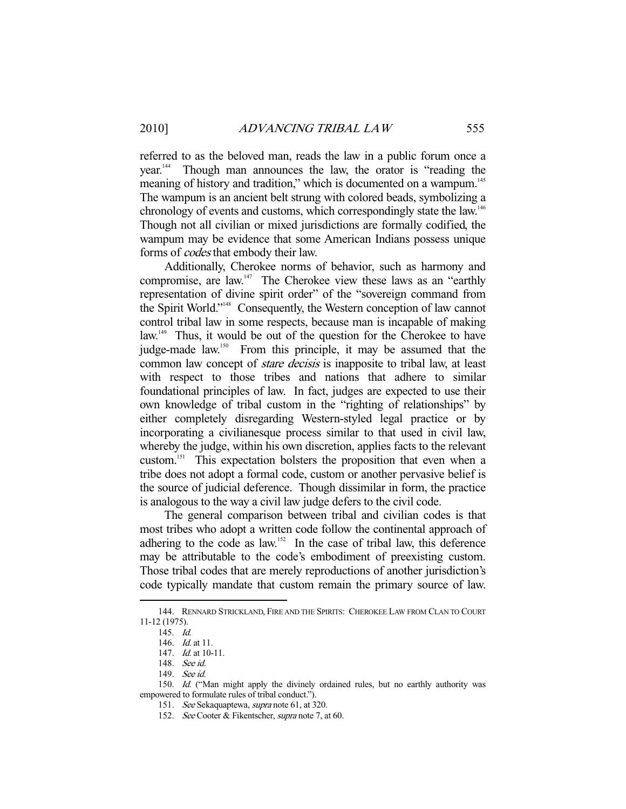referred to as the beloved man, reads the law in a public forum once a year.144 Though man announces the law, the orator is "reading the meaning of history and tradition," which is documented on a wampum.<sup>145</sup> The wampum is an ancient belt strung with colored beads, symbolizing a chronology of events and customs, which correspondingly state the law.<sup>146</sup> Though not all civilian or mixed jurisdictions are formally codified, the wampum may be evidence that some American Indians possess unique forms of codes that embody their law.

 Additionally, Cherokee norms of behavior, such as harmony and compromise, are law.147 The Cherokee view these laws as an "earthly representation of divine spirit order" of the "sovereign command from the Spirit World."148 Consequently, the Western conception of law cannot control tribal law in some respects, because man is incapable of making law.<sup>149</sup> Thus, it would be out of the question for the Cherokee to have judge-made law.<sup>150</sup> From this principle, it may be assumed that the common law concept of *stare decisis* is inapposite to tribal law, at least with respect to those tribes and nations that adhere to similar foundational principles of law. In fact, judges are expected to use their own knowledge of tribal custom in the "righting of relationships" by either completely disregarding Western-styled legal practice or by incorporating a civilianesque process similar to that used in civil law, whereby the judge, within his own discretion, applies facts to the relevant custom.151 This expectation bolsters the proposition that even when a tribe does not adopt a formal code, custom or another pervasive belief is the source of judicial deference. Though dissimilar in form, the practice is analogous to the way a civil law judge defers to the civil code.

 The general comparison between tribal and civilian codes is that most tribes who adopt a written code follow the continental approach of adhering to the code as  $law$ .<sup>152</sup> In the case of tribal law, this deference may be attributable to the code's embodiment of preexisting custom. Those tribal codes that are merely reproductions of another jurisdiction's code typically mandate that custom remain the primary source of law.

 <sup>144.</sup> RENNARD STRICKLAND, FIRE AND THE SPIRITS: CHEROKEE LAW FROM CLAN TO COURT 11-12 (1975).

 <sup>145.</sup> Id.

 <sup>146.</sup> Id. at 11.

 <sup>147.</sup> Id. at 10-11.

 <sup>148.</sup> See id.

 <sup>149.</sup> See id.

<sup>150.</sup> Id. ("Man might apply the divinely ordained rules, but no earthly authority was empowered to formulate rules of tribal conduct.").

 <sup>151.</sup> See Sekaquaptewa, supra note 61, at 320.

 <sup>152.</sup> See Cooter & Fikentscher, supra note 7, at 60.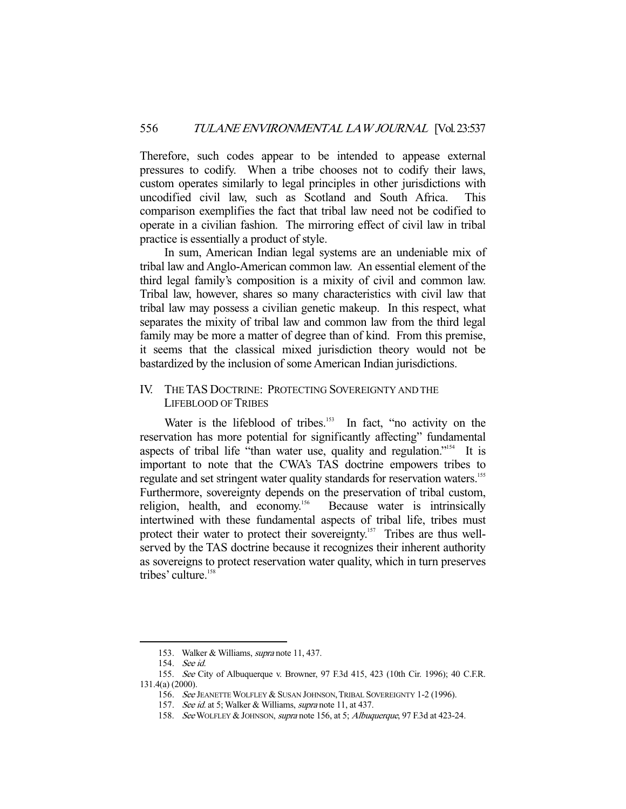Therefore, such codes appear to be intended to appease external pressures to codify. When a tribe chooses not to codify their laws, custom operates similarly to legal principles in other jurisdictions with uncodified civil law, such as Scotland and South Africa. This comparison exemplifies the fact that tribal law need not be codified to operate in a civilian fashion. The mirroring effect of civil law in tribal practice is essentially a product of style.

 In sum, American Indian legal systems are an undeniable mix of tribal law and Anglo-American common law. An essential element of the third legal family's composition is a mixity of civil and common law. Tribal law, however, shares so many characteristics with civil law that tribal law may possess a civilian genetic makeup. In this respect, what separates the mixity of tribal law and common law from the third legal family may be more a matter of degree than of kind. From this premise, it seems that the classical mixed jurisdiction theory would not be bastardized by the inclusion of some American Indian jurisdictions.

# IV. THE TAS DOCTRINE: PROTECTING SOVEREIGNTY AND THE LIFEBLOOD OF TRIBES

Water is the lifeblood of tribes.<sup>153</sup> In fact, "no activity on the reservation has more potential for significantly affecting" fundamental aspects of tribal life "than water use, quality and regulation."154 It is important to note that the CWA's TAS doctrine empowers tribes to regulate and set stringent water quality standards for reservation waters.<sup>155</sup> Furthermore, sovereignty depends on the preservation of tribal custom, religion, health, and economy.<sup>156</sup> Because water is intrinsically intertwined with these fundamental aspects of tribal life, tribes must protect their water to protect their sovereignty.<sup>157</sup> Tribes are thus wellserved by the TAS doctrine because it recognizes their inherent authority as sovereigns to protect reservation water quality, which in turn preserves tribes' culture.<sup>158</sup>

 <sup>153.</sup> Walker & Williams, supra note 11, 437.

 <sup>154.</sup> See id.

 <sup>155.</sup> See City of Albuquerque v. Browner, 97 F.3d 415, 423 (10th Cir. 1996); 40 C.F.R. 131.4(a) (2000).

<sup>156.</sup> See JEANETTE WOLFLEY & SUSAN JOHNSON, TRIBAL SOVEREIGNTY 1-2 (1996).

<sup>157.</sup> See id. at 5; Walker & Williams, supra note 11, at 437.

<sup>158.</sup> See WOLFLEY & JOHNSON, supra note 156, at 5; Albuquerque, 97 F.3d at 423-24.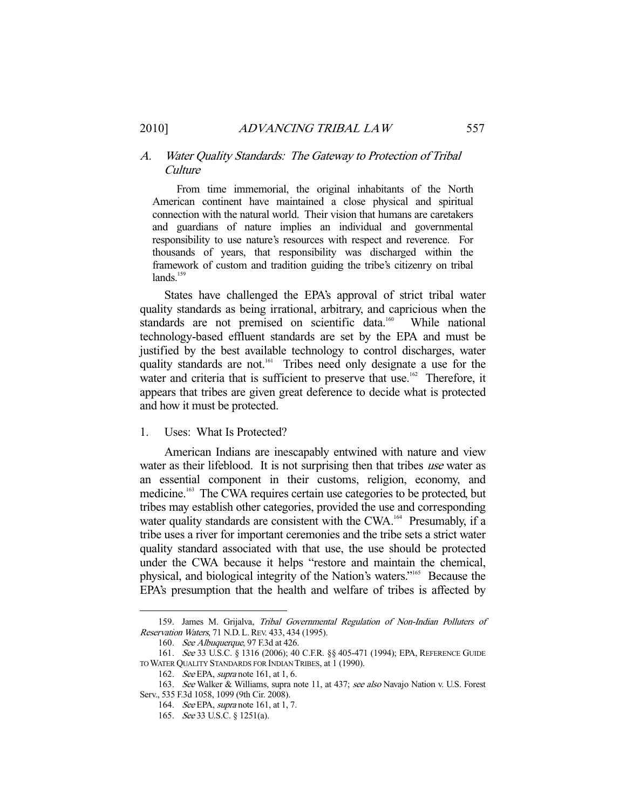#### A. Water Quality Standards: The Gateway to Protection of Tribal Culture

 From time immemorial, the original inhabitants of the North American continent have maintained a close physical and spiritual connection with the natural world. Their vision that humans are caretakers and guardians of nature implies an individual and governmental responsibility to use nature's resources with respect and reverence. For thousands of years, that responsibility was discharged within the framework of custom and tradition guiding the tribe's citizenry on tribal  $lands<sup>159</sup>$ 

 States have challenged the EPA's approval of strict tribal water quality standards as being irrational, arbitrary, and capricious when the standards are not premised on scientific data.<sup>160</sup> While national technology-based effluent standards are set by the EPA and must be justified by the best available technology to control discharges, water quality standards are not.<sup>161</sup> Tribes need only designate a use for the water and criteria that is sufficient to preserve that use.<sup>162</sup> Therefore, it appears that tribes are given great deference to decide what is protected and how it must be protected.

#### 1. Uses: What Is Protected?

 American Indians are inescapably entwined with nature and view water as their lifeblood. It is not surprising then that tribes use water as an essential component in their customs, religion, economy, and medicine.<sup>163</sup> The CWA requires certain use categories to be protected, but tribes may establish other categories, provided the use and corresponding water quality standards are consistent with the CWA.<sup>164</sup> Presumably, if a tribe uses a river for important ceremonies and the tribe sets a strict water quality standard associated with that use, the use should be protected under the CWA because it helps "restore and maintain the chemical, physical, and biological integrity of the Nation's waters."165 Because the EPA's presumption that the health and welfare of tribes is affected by

<sup>159.</sup> James M. Grijalva, Tribal Governmental Regulation of Non-Indian Polluters of Reservation Waters, 71 N.D. L.REV. 433, 434 (1995).

 <sup>160.</sup> See Albuquerque, 97 F.3d at 426.

 <sup>161.</sup> See 33 U.S.C. § 1316 (2006); 40 C.F.R. §§ 405-471 (1994); EPA, REFERENCE GUIDE TO WATER QUALITY STANDARDS FOR INDIAN TRIBES, at 1 (1990).

 <sup>162.</sup> See EPA, supra note 161, at 1, 6.

<sup>163.</sup> See Walker & Williams, supra note 11, at 437; see also Navajo Nation v. U.S. Forest Serv., 535 F.3d 1058, 1099 (9th Cir. 2008).

 <sup>164.</sup> See EPA, supra note 161, at 1, 7.

 <sup>165.</sup> See 33 U.S.C. § 1251(a).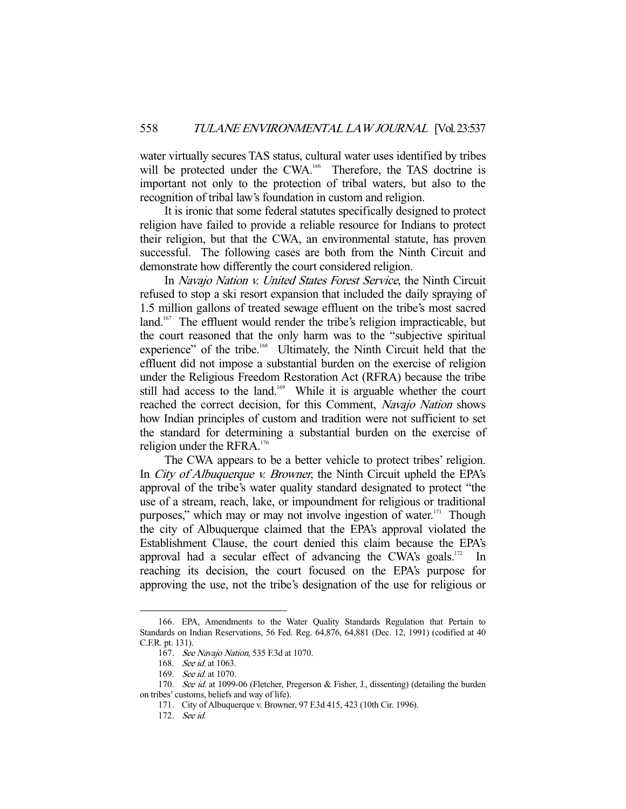water virtually secures TAS status, cultural water uses identified by tribes will be protected under the CWA.<sup>166</sup> Therefore, the TAS doctrine is important not only to the protection of tribal waters, but also to the recognition of tribal law's foundation in custom and religion.

 It is ironic that some federal statutes specifically designed to protect religion have failed to provide a reliable resource for Indians to protect their religion, but that the CWA, an environmental statute, has proven successful. The following cases are both from the Ninth Circuit and demonstrate how differently the court considered religion.

In Navajo Nation v. United States Forest Service, the Ninth Circuit refused to stop a ski resort expansion that included the daily spraying of 1.5 million gallons of treated sewage effluent on the tribe's most sacred land.<sup>167</sup> The effluent would render the tribe's religion impracticable, but the court reasoned that the only harm was to the "subjective spiritual experience" of the tribe.<sup>168</sup> Ultimately, the Ninth Circuit held that the effluent did not impose a substantial burden on the exercise of religion under the Religious Freedom Restoration Act (RFRA) because the tribe still had access to the land.<sup>169</sup> While it is arguable whether the court reached the correct decision, for this Comment, Navajo Nation shows how Indian principles of custom and tradition were not sufficient to set the standard for determining a substantial burden on the exercise of religion under the RFRA.<sup>170</sup>

 The CWA appears to be a better vehicle to protect tribes' religion. In *City of Albuquerque v. Browner*, the Ninth Circuit upheld the EPA's approval of the tribe's water quality standard designated to protect "the use of a stream, reach, lake, or impoundment for religious or traditional purposes," which may or may not involve ingestion of water. $171$  Though the city of Albuquerque claimed that the EPA's approval violated the Establishment Clause, the court denied this claim because the EPA's approval had a secular effect of advancing the CWA's goals.<sup>172</sup> In reaching its decision, the court focused on the EPA's purpose for approving the use, not the tribe's designation of the use for religious or

 <sup>166.</sup> EPA, Amendments to the Water Quality Standards Regulation that Pertain to Standards on Indian Reservations, 56 Fed. Reg. 64,876, 64,881 (Dec. 12, 1991) (codified at 40 C.F.R. pt. 131).

 <sup>167.</sup> See Navajo Nation, 535 F.3d at 1070.

 <sup>168.</sup> See id. at 1063.

 <sup>169.</sup> See id. at 1070.

<sup>170.</sup> See id. at 1099-06 (Fletcher, Pregerson & Fisher, J., dissenting) (detailing the burden on tribes' customs, beliefs and way of life).

 <sup>171.</sup> City of Albuquerque v. Browner, 97 F.3d 415, 423 (10th Cir. 1996).

 <sup>172.</sup> See id.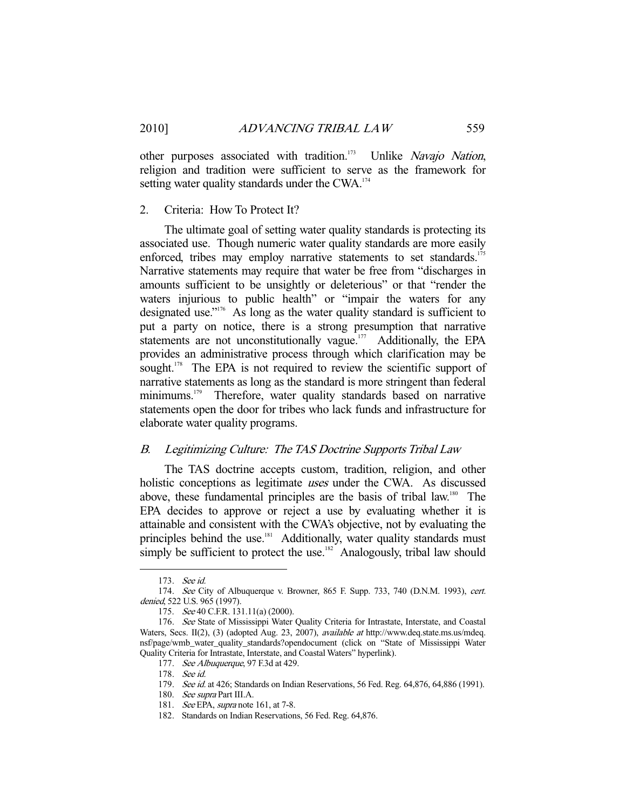other purposes associated with tradition.<sup>173</sup> Unlike Navajo Nation, religion and tradition were sufficient to serve as the framework for setting water quality standards under the CWA.<sup>174</sup>

#### 2. Criteria: How To Protect It?

 The ultimate goal of setting water quality standards is protecting its associated use. Though numeric water quality standards are more easily enforced, tribes may employ narrative statements to set standards.<sup>175</sup> Narrative statements may require that water be free from "discharges in amounts sufficient to be unsightly or deleterious" or that "render the waters injurious to public health" or "impair the waters for any designated use."176 As long as the water quality standard is sufficient to put a party on notice, there is a strong presumption that narrative statements are not unconstitutionally vague.<sup>177</sup> Additionally, the EPA provides an administrative process through which clarification may be sought.<sup>178</sup> The EPA is not required to review the scientific support of narrative statements as long as the standard is more stringent than federal minimums.<sup>179</sup> Therefore, water quality standards based on narrative statements open the door for tribes who lack funds and infrastructure for elaborate water quality programs.

#### B. Legitimizing Culture: The TAS Doctrine Supports Tribal Law

 The TAS doctrine accepts custom, tradition, religion, and other holistic conceptions as legitimate uses under the CWA. As discussed above, these fundamental principles are the basis of tribal law.<sup>180</sup> The EPA decides to approve or reject a use by evaluating whether it is attainable and consistent with the CWA's objective, not by evaluating the principles behind the use.<sup>181</sup> Additionally, water quality standards must simply be sufficient to protect the use.<sup>182</sup> Analogously, tribal law should

 <sup>173.</sup> See id.

 <sup>174.</sup> See City of Albuquerque v. Browner, 865 F. Supp. 733, 740 (D.N.M. 1993), cert. denied, 522 U.S. 965 (1997).

<sup>175.</sup> See 40 C.F.R. 131.11(a) (2000).

<sup>176.</sup> See State of Mississippi Water Quality Criteria for Intrastate, Interstate, and Coastal Waters, Secs. II(2), (3) (adopted Aug. 23, 2007), *available at http://www.deq.state.ms.us/mdeq.* nsf/page/wmb\_water\_quality\_standards?opendocument (click on "State of Mississippi Water Quality Criteria for Intrastate, Interstate, and Coastal Waters" hyperlink).

<sup>177.</sup> See Albuquerque, 97 F.3d at 429.

 <sup>178.</sup> See id.

<sup>179.</sup> See id. at 426; Standards on Indian Reservations, 56 Fed. Reg. 64,876, 64,886 (1991).

 <sup>180.</sup> See supra Part III.A.

<sup>181.</sup> See EPA, supra note 161, at 7-8.

 <sup>182.</sup> Standards on Indian Reservations, 56 Fed. Reg. 64,876.